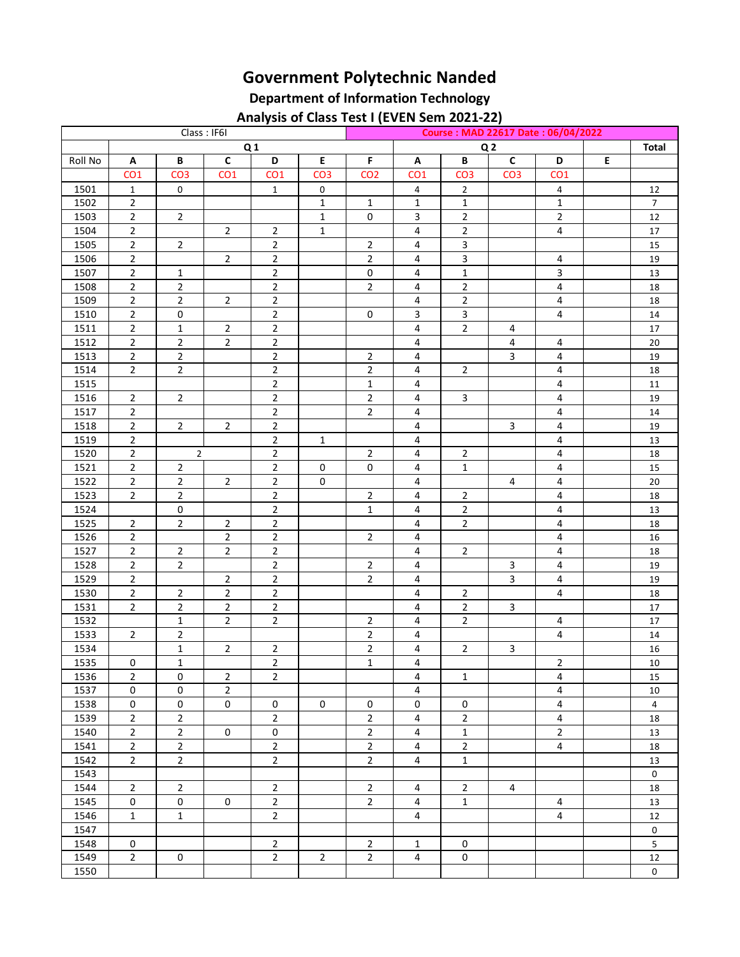## **Government Polytechnic Nanded**

## **Department of Information Technology Analysis of Class Test I (EVEN Sem 2021-22)**

|              |                 |                                  |                                  |                 |                 | Analysis of Class Test I (EVEN Sem Z021-22) |                         |                                  |                         |                 |   |                |
|--------------|-----------------|----------------------------------|----------------------------------|-----------------|-----------------|---------------------------------------------|-------------------------|----------------------------------|-------------------------|-----------------|---|----------------|
| Class: IF6I  |                 |                                  |                                  |                 |                 | Course: MAD 22617 Date: 06/04/2022          |                         |                                  |                         |                 |   |                |
|              | Q <sub>1</sub>  |                                  |                                  |                 |                 |                                             | Q <sub>2</sub>          |                                  |                         |                 |   | <b>Total</b>   |
| Roll No      | Α               | B                                | $\mathsf{C}$                     | D               | $\mathsf E$     | F                                           | Α                       | B                                | $\mathbf{C}$            | D               | E |                |
|              | CO <sub>1</sub> | CO <sub>3</sub>                  | CO <sub>1</sub>                  | CO <sub>1</sub> | CO <sub>3</sub> | CO <sub>2</sub>                             | CO <sub>1</sub>         | CO <sub>3</sub>                  | CO <sub>3</sub>         | CO <sub>1</sub> |   |                |
| 1501         | $\mathbf{1}$    | 0                                |                                  | $\mathbf{1}$    | $\mathsf 0$     |                                             | 4                       | $\overline{2}$                   |                         | 4               |   | 12             |
| 1502         | $\overline{2}$  |                                  |                                  |                 | $\mathbf{1}$    | $\mathbf 1$                                 | $\mathbf{1}$            | $\mathbf 1$                      |                         | $\mathbf{1}$    |   | $\overline{7}$ |
| 1503         | $\overline{2}$  | $\overline{2}$                   |                                  |                 | $\mathbf{1}$    | $\pmb{0}$                                   | 3                       | $\overline{2}$                   |                         | $\overline{2}$  |   | 12             |
| 1504         | $\overline{2}$  |                                  | $\overline{2}$                   | $\overline{2}$  | $\mathbf{1}$    |                                             | 4                       | $\overline{2}$                   |                         | 4               |   | 17             |
| 1505         | $\overline{2}$  | $\overline{2}$                   |                                  | $\overline{2}$  |                 | $\overline{2}$                              | $\overline{\mathbf{4}}$ | $\overline{3}$                   |                         |                 |   | 15             |
| 1506         | $\overline{2}$  |                                  | $\overline{2}$                   | $\mathbf 2$     |                 | $\overline{2}$                              | 4                       | $\mathsf{3}$                     |                         | 4               |   | 19             |
| 1507         | $\overline{2}$  | $\mathbf 1$                      |                                  | $\overline{2}$  |                 | 0                                           | 4                       | $\mathbf{1}$                     |                         | 3               |   | 13             |
| 1508         | $\overline{2}$  | $\overline{c}$                   |                                  | $\overline{2}$  |                 | $\overline{2}$                              | 4                       | $\overline{2}$                   |                         | 4               |   | 18             |
| 1509         | $\overline{2}$  | $\overline{2}$                   | $\overline{2}$                   | $\mathbf 2$     |                 |                                             | 4                       | $\overline{2}$                   |                         | 4               |   | 18             |
| 1510         | $\overline{2}$  | 0                                |                                  | $\sqrt{2}$      |                 | 0                                           | $\mathbf{3}$            | $\mathbf{3}$                     |                         | 4               |   | $14\,$         |
| 1511         | $\overline{2}$  | 1                                | $\overline{2}$                   | $\overline{2}$  |                 |                                             | $\overline{\mathbf{4}}$ | $\overline{2}$                   | 4                       |                 |   | 17             |
| 1512         | $\overline{2}$  | $\overline{2}$                   | $\overline{2}$                   | $\overline{2}$  |                 |                                             | $\overline{\mathbf{4}}$ |                                  | 4                       | 4               |   | $20\,$         |
| 1513         | $\overline{2}$  | $\overline{2}$                   |                                  | $\overline{2}$  |                 | $\overline{2}$                              | $\overline{4}$          |                                  | 3                       | 4               |   | 19             |
| 1514         | $\overline{2}$  | $\overline{2}$                   |                                  | $\overline{2}$  |                 | $\mathbf 2$                                 | 4                       | $\overline{2}$                   |                         | 4               |   | 18             |
| 1515         |                 |                                  |                                  | $\mathbf 2$     |                 | $\mathbf 1$                                 | 4                       |                                  |                         | 4               |   | $11\,$         |
| 1516         | $\overline{2}$  | $\overline{2}$                   |                                  | $\overline{2}$  |                 | $\mathbf 2$                                 | 4                       | $\overline{3}$                   |                         | 4               |   | 19             |
| 1517         | $\overline{2}$  |                                  |                                  | $\overline{2}$  |                 | $\mathbf 2$                                 | $\overline{4}$          |                                  |                         | 4               |   | 14             |
| 1518         | $\overline{2}$  | $\overline{2}$                   | $\overline{2}$                   | $\overline{2}$  |                 |                                             | $\overline{\mathbf{4}}$ |                                  | $\overline{3}$          | 4               |   | $19\,$         |
| 1519         | $\overline{2}$  |                                  |                                  | $\overline{2}$  | $\mathbf{1}$    |                                             | $\overline{4}$          |                                  |                         | 4               |   | 13             |
| 1520         | $\overline{2}$  | $\overline{2}$                   |                                  | $\overline{2}$  |                 | $\overline{2}$                              | 4                       | $\overline{2}$                   |                         | 4               |   | 18             |
| 1521         | $\overline{2}$  | $\overline{2}$                   |                                  | $\overline{2}$  | 0               | 0                                           | $\overline{\mathbf{4}}$ | $\mathbf{1}$                     |                         | 4               |   | 15             |
| 1522         | $\overline{2}$  | $\mathbf 2$                      | 2                                | $\overline{2}$  | 0               |                                             | 4                       |                                  | 4                       | 4               |   | 20             |
| 1523         | $\overline{2}$  | $\overline{2}$                   |                                  | $\overline{2}$  |                 | $\overline{2}$                              | $\overline{\mathbf{4}}$ | $\overline{2}$                   |                         | 4               |   | 18             |
| 1524         |                 | 0                                |                                  | $\overline{2}$  |                 | $\mathbf 1$                                 | $\overline{\mathbf{4}}$ | $\overline{2}$                   |                         | 4               |   | 13             |
| 1525         | $\overline{2}$  | $\overline{2}$                   | 2                                | $\overline{2}$  |                 |                                             | $\overline{4}$          | $\overline{2}$                   |                         | 4               |   | 18             |
| 1526         | $\overline{2}$  |                                  | $\overline{2}$                   | $\overline{2}$  |                 | $\overline{2}$                              | $\overline{4}$          |                                  |                         | 4               |   | 16             |
| 1527         | $\overline{2}$  | $\overline{2}$                   | $\overline{2}$                   | $\overline{2}$  |                 |                                             | $\overline{4}$          | $\overline{2}$                   |                         | 4               |   | 18             |
| 1528         | $\overline{2}$  | $\overline{2}$                   |                                  | $\overline{2}$  |                 | $\overline{2}$                              | $\overline{\mathbf{4}}$ |                                  | 3                       | 4               |   | 19             |
| 1529         | $\overline{2}$  |                                  | $\overline{2}$                   | $\overline{2}$  |                 | $\overline{2}$                              | $\overline{4}$          |                                  | $\overline{\mathbf{3}}$ | 4               |   | 19             |
| 1530         | $\overline{2}$  |                                  |                                  | $\overline{2}$  |                 |                                             | 4                       |                                  |                         | 4               |   |                |
|              | $\overline{2}$  | $\overline{2}$<br>$\overline{2}$ | $\overline{2}$                   | $\overline{2}$  |                 |                                             |                         | $\overline{2}$<br>$\overline{2}$ | $\overline{\mathbf{3}}$ |                 |   | 18             |
| 1531<br>1532 |                 |                                  | $\overline{2}$<br>$\overline{2}$ | $\overline{2}$  |                 | $\overline{2}$                              | 4                       | $\overline{2}$                   |                         |                 |   | $17\,$         |
|              |                 | $\mathbf 1$                      |                                  |                 |                 |                                             | 4                       |                                  |                         | 4               |   | $17\,$         |
| 1533         | $\overline{2}$  | $\overline{2}$                   |                                  |                 |                 | $\overline{2}$<br>$\mathbf 2$               | 4                       |                                  |                         | 4               |   | $14\,$         |
| 1534         |                 | $\mathbf{1}$                     | $\overline{2}$                   | $\overline{2}$  |                 |                                             | $\overline{\mathbf{4}}$ | $\overline{2}$                   | 3                       |                 |   | $16\,$         |
| 1535         | 0               | 1                                |                                  | 2               |                 | 1                                           | 4                       |                                  |                         | 2               |   | 10             |
| 1536         | $\overline{2}$  | 0                                | $\overline{2}$                   | $\overline{2}$  |                 |                                             | $\overline{4}$          | $\mathbf{1}$                     |                         | 4               |   | 15             |
| 1537         | $\mathsf 0$     | 0                                | $\overline{2}$                   |                 |                 |                                             | $\overline{4}$          |                                  |                         | 4               |   | 10             |
| 1538         | $\mathbf 0$     | 0                                | 0                                | 0               | 0               | 0                                           | 0                       | 0                                |                         | 4               |   | $\overline{4}$ |
| 1539         | $\overline{2}$  | $\overline{2}$                   |                                  | $\overline{2}$  |                 | $\overline{2}$                              | 4                       | $\overline{2}$                   |                         | 4               |   | 18             |
| 1540         | $\overline{2}$  | $\overline{2}$                   | 0                                | 0               |                 | $\overline{2}$                              | $\overline{4}$          | $\mathbf{1}$                     |                         | $\overline{2}$  |   | 13             |
| 1541         | $\overline{2}$  | $\overline{2}$                   |                                  | $\overline{2}$  |                 | $\overline{2}$                              | $\overline{4}$          | $\overline{2}$                   |                         | 4               |   | 18             |
| 1542         | $\overline{2}$  | $\overline{2}$                   |                                  | $\overline{2}$  |                 | $\overline{2}$                              | 4                       | $\mathbf{1}$                     |                         |                 |   | 13             |
| 1543         |                 |                                  |                                  |                 |                 |                                             |                         |                                  |                         |                 |   | $\mathbf 0$    |
| 1544         | $\overline{2}$  | $\overline{2}$                   |                                  | $\overline{2}$  |                 | $\overline{2}$                              | 4                       | $\overline{2}$                   | 4                       |                 |   | 18             |
| 1545         | $\mathsf{O}$    | 0                                | 0                                | $\overline{2}$  |                 | $\overline{2}$                              | $\overline{4}$          | $\mathbf{1}$                     |                         | 4               |   | 13             |
| 1546         | $\mathbf{1}$    | $\mathbf{1}$                     |                                  | $\overline{2}$  |                 |                                             | 4                       |                                  |                         | 4               |   | 12             |
| 1547         |                 |                                  |                                  |                 |                 |                                             |                         |                                  |                         |                 |   | 0              |
| 1548         | 0               |                                  |                                  | $\overline{2}$  |                 | $\overline{2}$                              | $\mathbf{1}$            | 0                                |                         |                 |   | 5              |
| 1549         | $\overline{2}$  | 0                                |                                  | $\overline{2}$  | $\overline{2}$  | $\overline{2}$                              | 4                       | 0                                |                         |                 |   | 12             |
| 1550         |                 |                                  |                                  |                 |                 |                                             |                         |                                  |                         |                 |   | 0              |